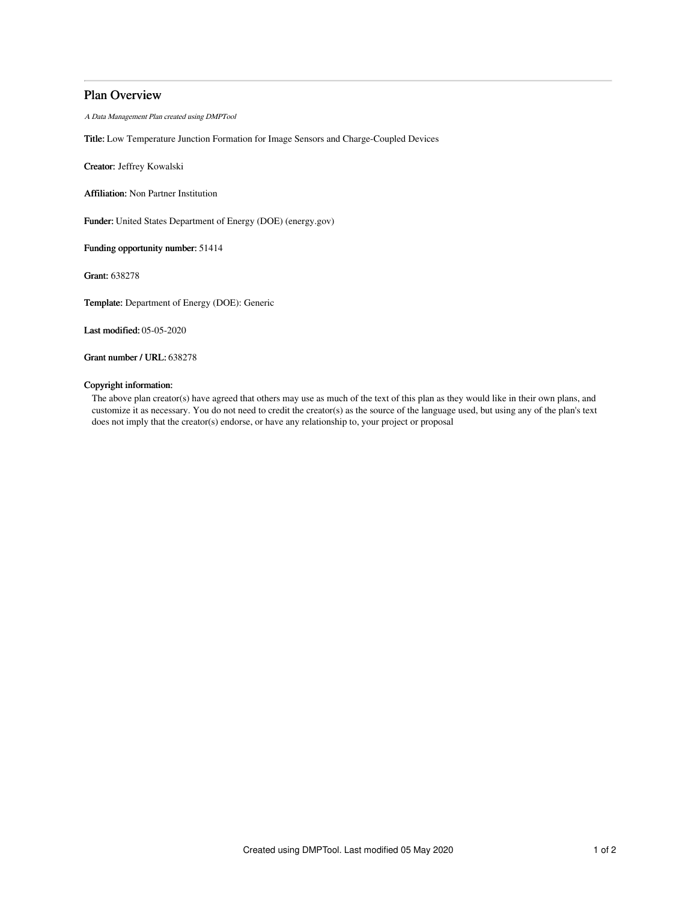## Plan Overview

A Data Management Plan created using DMPTool

Title: Low Temperature Junction Formation for Image Sensors and Charge-Coupled Devices

Creator: Jeffrey Kowalski

Affiliation: Non Partner Institution

Funder: United States Department of Energy (DOE) (energy.gov)

Funding opportunity number: 51414

Grant: 638278

Template: Department of Energy (DOE): Generic

Last modified: 05-05-2020

Grant number / URL: 638278

## Copyright information:

The above plan creator(s) have agreed that others may use as much of the text of this plan as they would like in their own plans, and customize it as necessary. You do not need to credit the creator(s) as the source of the language used, but using any of the plan's text does not imply that the creator(s) endorse, or have any relationship to, your project or proposal